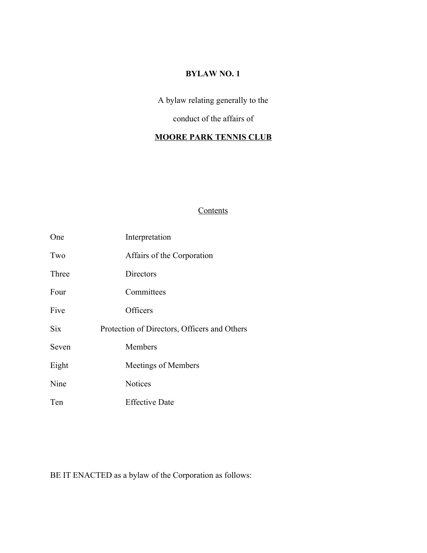# **BYLAW NO. 1**

A bylaw relating generally to the

conduct of the affairs of

# **MOORE PARK TENNIS CLUB**

# **Contents**

| One        | Interpretation                               |
|------------|----------------------------------------------|
| Two        | Affairs of the Corporation                   |
| Three      | <b>Directors</b>                             |
| Four       | Committees                                   |
| Five       | <b>Officers</b>                              |
| <b>Six</b> | Protection of Directors, Officers and Others |
| Seven      | Members                                      |
|            |                                              |
| Eight      | Meetings of Members                          |
| Nine       | <b>Notices</b>                               |

BE IT ENACTED as a bylaw of the Corporation as follows: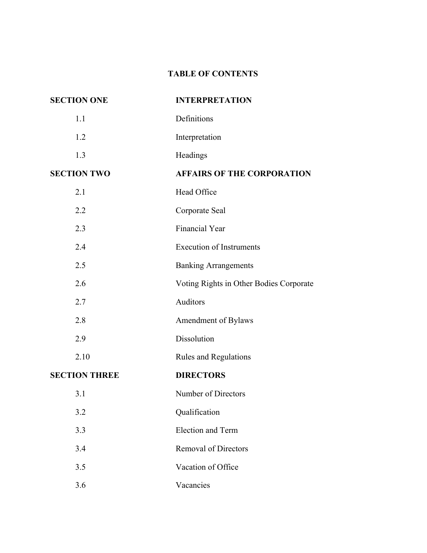# **TABLE OF CONTENTS**

| <b>SECTION ONE</b>   | <b>INTERPRETATION</b>                   |
|----------------------|-----------------------------------------|
| 1.1                  | Definitions                             |
| 1.2                  | Interpretation                          |
| 1.3                  | Headings                                |
| <b>SECTION TWO</b>   | <b>AFFAIRS OF THE CORPORATION</b>       |
| 2.1                  | Head Office                             |
| 2.2                  | Corporate Seal                          |
| 2.3                  | <b>Financial Year</b>                   |
| 2.4                  | <b>Execution of Instruments</b>         |
| 2.5                  | <b>Banking Arrangements</b>             |
| 2.6                  | Voting Rights in Other Bodies Corporate |
| 2.7                  | Auditors                                |
| 2.8                  | Amendment of Bylaws                     |
| 2.9                  | Dissolution                             |
| 2.10                 | <b>Rules and Regulations</b>            |
| <b>SECTION THREE</b> | <b>DIRECTORS</b>                        |
| 3.1                  | Number of Directors                     |
| 3.2                  | Qualification                           |
| 3.3                  | Election and Term                       |
| 3.4                  | <b>Removal of Directors</b>             |
| 3.5                  | Vacation of Office                      |
| 3.6                  | Vacancies                               |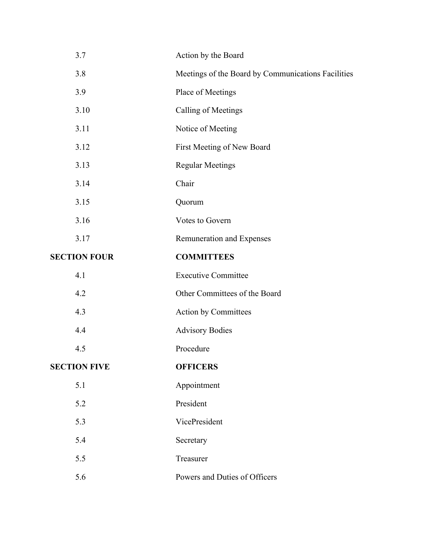| 3.7                 | Action by the Board                                |
|---------------------|----------------------------------------------------|
| 3.8                 | Meetings of the Board by Communications Facilities |
| 3.9                 | Place of Meetings                                  |
| 3.10                | Calling of Meetings                                |
| 3.11                | Notice of Meeting                                  |
| 3.12                | First Meeting of New Board                         |
| 3.13                | <b>Regular Meetings</b>                            |
| 3.14                | Chair                                              |
| 3.15                | Quorum                                             |
| 3.16                | Votes to Govern                                    |
| 3.17                | Remuneration and Expenses                          |
| <b>SECTION FOUR</b> | <b>COMMITTEES</b>                                  |
| 4.1                 | <b>Executive Committee</b>                         |
| 4.2                 | Other Committees of the Board                      |
| 4.3                 | Action by Committees                               |
| 4.4                 | <b>Advisory Bodies</b>                             |
| 4.5                 | Procedure                                          |
| <b>SECTION FIVE</b> | <b>OFFICERS</b>                                    |
| 5.1                 | Appointment                                        |
| 5.2                 | President                                          |
| 5.3                 | VicePresident                                      |
| 5.4                 | Secretary                                          |
| 5.5                 | Treasurer                                          |
| 5.6                 | Powers and Duties of Officers                      |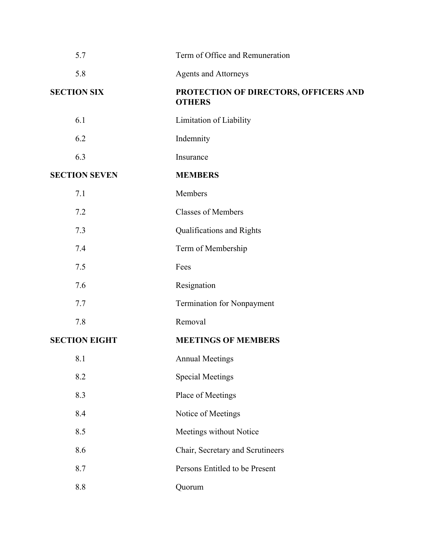| 5.7                  | Term of Office and Remuneration                        |
|----------------------|--------------------------------------------------------|
| 5.8                  | <b>Agents and Attorneys</b>                            |
| <b>SECTION SIX</b>   | PROTECTION OF DIRECTORS, OFFICERS AND<br><b>OTHERS</b> |
| 6.1                  | Limitation of Liability                                |
| 6.2                  | Indemnity                                              |
| 6.3                  | Insurance                                              |
| <b>SECTION SEVEN</b> | <b>MEMBERS</b>                                         |
| 7.1                  | Members                                                |
| 7.2                  | <b>Classes of Members</b>                              |
| 7.3                  | Qualifications and Rights                              |
| 7.4                  | Term of Membership                                     |
| 7.5                  | Fees                                                   |
| 7.6                  | Resignation                                            |
| 7.7                  | <b>Termination for Nonpayment</b>                      |
| 7.8                  | Removal                                                |
| <b>SECTION EIGHT</b> | <b>MEETINGS OF MEMBERS</b>                             |
| 8.1                  | <b>Annual Meetings</b>                                 |
| 8.2                  | <b>Special Meetings</b>                                |
| 8.3                  | Place of Meetings                                      |
| 8.4                  | Notice of Meetings                                     |
| 8.5                  | Meetings without Notice                                |
| 8.6                  | Chair, Secretary and Scrutineers                       |
| 8.7                  | Persons Entitled to be Present                         |
| 8.8                  | Quorum                                                 |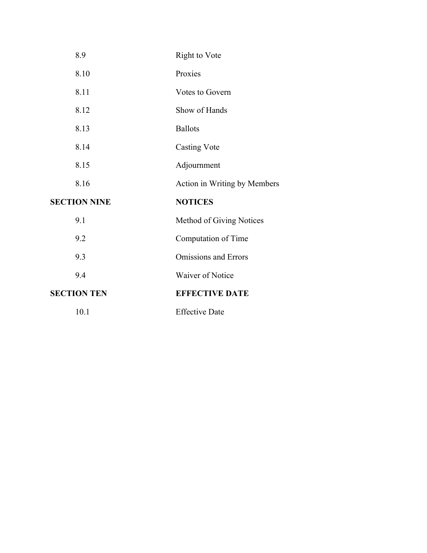| 8.9                 | Right to Vote                |
|---------------------|------------------------------|
| 8.10                | Proxies                      |
| 8.11                | Votes to Govern              |
| 8.12                | Show of Hands                |
| 8.13                | <b>Ballots</b>               |
| 8.14                | <b>Casting Vote</b>          |
| 8.15                | Adjournment                  |
| 8.16                | Action in Writing by Members |
| <b>SECTION NINE</b> | <b>NOTICES</b>               |
| 9.1                 | Method of Giving Notices     |
| 9.2                 | Computation of Time          |
| 9.3                 | <b>Omissions and Errors</b>  |
| 9.4                 | <b>Waiver of Notice</b>      |
| <b>SECTION TEN</b>  | <b>EFFECTIVE DATE</b>        |
| 10.1                | <b>Effective Date</b>        |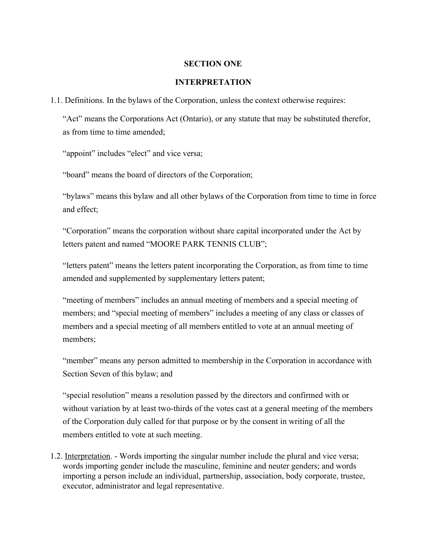## **SECTION ONE**

# **INTERPRETATION**

1.1. Definitions. In the bylaws of the Corporation, unless the context otherwise requires:

"Act" means the Corporations Act (Ontario), or any statute that may be substituted therefor, as from time to time amended;

"appoint" includes "elect" and vice versa;

"board" means the board of directors of the Corporation;

"bylaws" means this bylaw and all other bylaws of the Corporation from time to time in force and effect;

"Corporation" means the corporation without share capital incorporated under the Act by letters patent and named "MOORE PARK TENNIS CLUB";

"letters patent" means the letters patent incorporating the Corporation, as from time to time amended and supplemented by supplementary letters patent;

"meeting of members" includes an annual meeting of members and a special meeting of members; and "special meeting of members" includes a meeting of any class or classes of members and a special meeting of all members entitled to vote at an annual meeting of members;

"member" means any person admitted to membership in the Corporation in accordance with Section Seven of this bylaw; and

"special resolution" means a resolution passed by the directors and confirmed with or without variation by at least two-thirds of the votes cast at a general meeting of the members of the Corporation duly called for that purpose or by the consent in writing of all the members entitled to vote at such meeting.

1.2. Interpretation. - Words importing the singular number include the plural and vice versa; words importing gender include the masculine, feminine and neuter genders; and words importing a person include an individual, partnership, association, body corporate, trustee, executor, administrator and legal representative.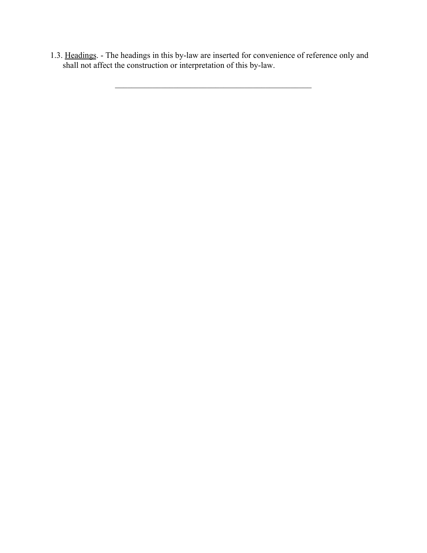1.3. Headings. - The headings in this by-law are inserted for convenience of reference only and shall not affect the construction or interpretation of this by-law.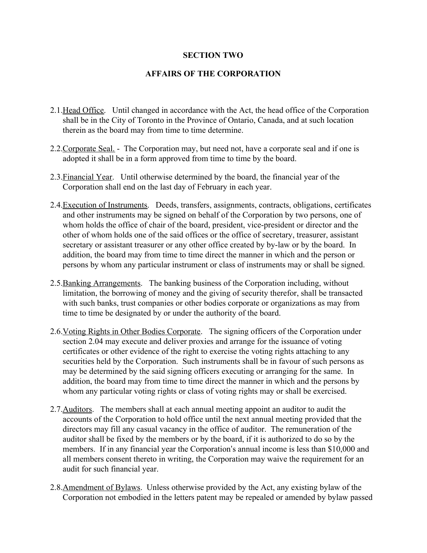## **SECTION TWO**

# **AFFAIRS OF THE CORPORATION**

- 2.1. Head Office. Until changed in accordance with the Act, the head office of the Corporation shall be in the City of Toronto in the Province of Ontario, Canada, and at such location therein as the board may from time to time determine.
- 2.2.Corporate Seal. The Corporation may, but need not, have a corporate seal and if one is adopted it shall be in a form approved from time to time by the board.
- 2.3.Financial Year. Until otherwise determined by the board, the financial year of the Corporation shall end on the last day of February in each year.
- 2.4.Execution of Instruments. Deeds, transfers, assignments, contracts, obligations, certificates and other instruments may be signed on behalf of the Corporation by two persons, one of whom holds the office of chair of the board, president, vice-president or director and the other of whom holds one of the said offices or the office of secretary, treasurer, assistant secretary or assistant treasurer or any other office created by by-law or by the board. In addition, the board may from time to time direct the manner in which and the person or persons by whom any particular instrument or class of instruments may or shall be signed.
- 2.5.Banking Arrangements. The banking business of the Corporation including, without limitation, the borrowing of money and the giving of security therefor, shall be transacted with such banks, trust companies or other bodies corporate or organizations as may from time to time be designated by or under the authority of the board.
- 2.6.Voting Rights in Other Bodies Corporate. The signing officers of the Corporation under section 2.04 may execute and deliver proxies and arrange for the issuance of voting certificates or other evidence of the right to exercise the voting rights attaching to any securities held by the Corporation. Such instruments shall be in favour of such persons as may be determined by the said signing officers executing or arranging for the same. In addition, the board may from time to time direct the manner in which and the persons by whom any particular voting rights or class of voting rights may or shall be exercised.
- 2.7. Auditors. The members shall at each annual meeting appoint an auditor to audit the accounts of the Corporation to hold office until the next annual meeting provided that the directors may fill any casual vacancy in the office of auditor. The remuneration of the auditor shall be fixed by the members or by the board, if it is authorized to do so by the members. If in any financial year the Corporation's annual income is less than \$10,000 and all members consent thereto in writing, the Corporation may waive the requirement for an audit for such financial year.
- 2.8.Amendment of Bylaws. Unless otherwise provided by the Act, any existing bylaw of the Corporation not embodied in the letters patent may be repealed or amended by bylaw passed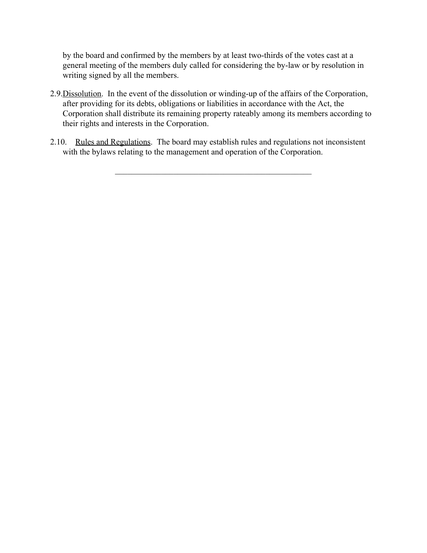by the board and confirmed by the members by at least two-thirds of the votes cast at a general meeting of the members duly called for considering the by-law or by resolution in writing signed by all the members.

- 2.9.Dissolution. In the event of the dissolution or winding-up of the affairs of the Corporation, after providing for its debts, obligations or liabilities in accordance with the Act, the Corporation shall distribute its remaining property rateably among its members according to their rights and interests in the Corporation.
- 2.10. Rules and Regulations. The board may establish rules and regulations not inconsistent with the bylaws relating to the management and operation of the Corporation.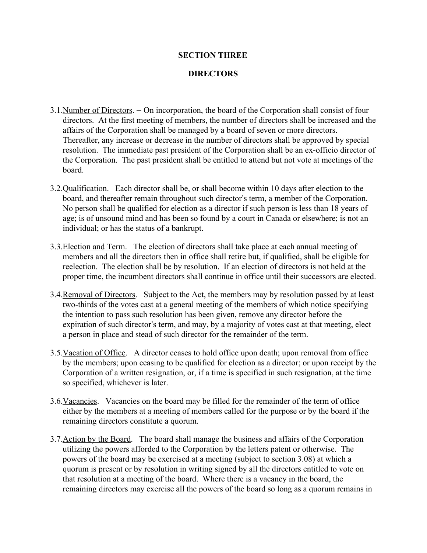# **SECTION THREE**

# **DIRECTORS**

- 3.1.Number of Directors. On incorporation, the board of the Corporation shall consist of four directors. At the first meeting of members, the number of directors shall be increased and the affairs of the Corporation shall be managed by a board of seven or more directors. Thereafter, any increase or decrease in the number of directors shall be approved by special resolution. The immediate past president of the Corporation shall be an ex-officio director of the Corporation. The past president shall be entitled to attend but not vote at meetings of the board.
- 3.2.Qualification. Each director shall be, or shall become within 10 days after election to the board, and thereafter remain throughout such director's term, a member of the Corporation. No person shall be qualified for election as a director if such person is less than 18 years of age; is of unsound mind and has been so found by a court in Canada or elsewhere; is not an individual; or has the status of a bankrupt.
- 3.3.Election and Term. The election of directors shall take place at each annual meeting of members and all the directors then in office shall retire but, if qualified, shall be eligible for reelection. The election shall be by resolution. If an election of directors is not held at the proper time, the incumbent directors shall continue in office until their successors are elected.
- 3.4. Removal of Directors. Subject to the Act, the members may by resolution passed by at least two-thirds of the votes cast at a general meeting of the members of which notice specifying the intention to pass such resolution has been given, remove any director before the expiration of such director's term, and may, by a majority of votes cast at that meeting, elect a person in place and stead of such director for the remainder of the term.
- 3.5.Vacation of Office. A director ceases to hold office upon death; upon removal from office by the members; upon ceasing to be qualified for election as a director; or upon receipt by the Corporation of a written resignation, or, if a time is specified in such resignation, at the time so specified, whichever is later.
- 3.6.Vacancies. Vacancies on the board may be filled for the remainder of the term of office either by the members at a meeting of members called for the purpose or by the board if the remaining directors constitute a quorum.
- 3.7.Action by the Board. The board shall manage the business and affairs of the Corporation utilizing the powers afforded to the Corporation by the letters patent or otherwise. The powers of the board may be exercised at a meeting (subject to section 3.08) at which a quorum is present or by resolution in writing signed by all the directors entitled to vote on that resolution at a meeting of the board. Where there is a vacancy in the board, the remaining directors may exercise all the powers of the board so long as a quorum remains in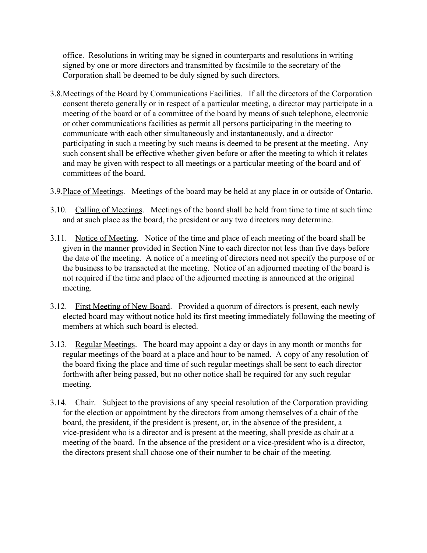office. Resolutions in writing may be signed in counterparts and resolutions in writing signed by one or more directors and transmitted by facsimile to the secretary of the Corporation shall be deemed to be duly signed by such directors.

- 3.8.Meetings of the Board by Communications Facilities. If all the directors of the Corporation consent thereto generally or in respect of a particular meeting, a director may participate in a meeting of the board or of a committee of the board by means of such telephone, electronic or other communications facilities as permit all persons participating in the meeting to communicate with each other simultaneously and instantaneously, and a director participating in such a meeting by such means is deemed to be present at the meeting. Any such consent shall be effective whether given before or after the meeting to which it relates and may be given with respect to all meetings or a particular meeting of the board and of committees of the board.
- 3.9.Place of Meetings. Meetings of the board may be held at any place in or outside of Ontario.
- 3.10. Calling of Meetings. Meetings of the board shall be held from time to time at such time and at such place as the board, the president or any two directors may determine.
- 3.11. Notice of Meeting. Notice of the time and place of each meeting of the board shall be given in the manner provided in Section Nine to each director not less than five days before the date of the meeting. A notice of a meeting of directors need not specify the purpose of or the business to be transacted at the meeting. Notice of an adjourned meeting of the board is not required if the time and place of the adjourned meeting is announced at the original meeting.
- 3.12. First Meeting of New Board. Provided a quorum of directors is present, each newly elected board may without notice hold its first meeting immediately following the meeting of members at which such board is elected.
- 3.13. Regular Meetings. The board may appoint a day or days in any month or months for regular meetings of the board at a place and hour to be named. A copy of any resolution of the board fixing the place and time of such regular meetings shall be sent to each director forthwith after being passed, but no other notice shall be required for any such regular meeting.
- 3.14. Chair. Subject to the provisions of any special resolution of the Corporation providing for the election or appointment by the directors from among themselves of a chair of the board, the president, if the president is present, or, in the absence of the president, a vice-president who is a director and is present at the meeting, shall preside as chair at a meeting of the board. In the absence of the president or a vice-president who is a director, the directors present shall choose one of their number to be chair of the meeting.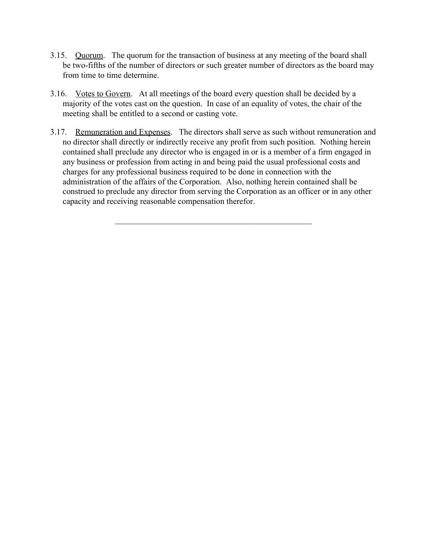- 3.15. Quorum. The quorum for the transaction of business at any meeting of the board shall be two-fifths of the number of directors or such greater number of directors as the board may from time to time determine.
- 3.16. Votes to Govern. At all meetings of the board every question shall be decided by a majority of the votes cast on the question. In case of an equality of votes, the chair of the meeting shall be entitled to a second or casting vote.
- 3.17. Remuneration and Expenses. The directors shall serve as such without remuneration and no director shall directly or indirectly receive any profit from such position. Nothing herein contained shall preclude any director who is engaged in or is a member of a firm engaged in any business or profession from acting in and being paid the usual professional costs and charges for any professional business required to be done in connection with the administration of the affairs of the Corporation. Also, nothing herein contained shall be construed to preclude any director from serving the Corporation as an officer or in any other capacity and receiving reasonable compensation therefor.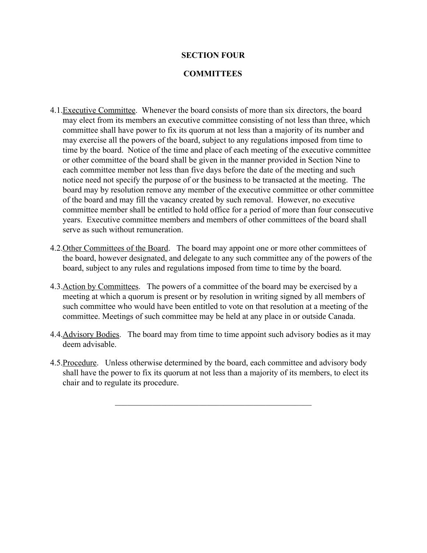# **SECTION FOUR**

# **COMMITTEES**

- 4.1.Executive Committee. Whenever the board consists of more than six directors, the board may elect from its members an executive committee consisting of not less than three, which committee shall have power to fix its quorum at not less than a majority of its number and may exercise all the powers of the board, subject to any regulations imposed from time to time by the board. Notice of the time and place of each meeting of the executive committee or other committee of the board shall be given in the manner provided in Section Nine to each committee member not less than five days before the date of the meeting and such notice need not specify the purpose of or the business to be transacted at the meeting. The board may by resolution remove any member of the executive committee or other committee of the board and may fill the vacancy created by such removal. However, no executive committee member shall be entitled to hold office for a period of more than four consecutive years. Executive committee members and members of other committees of the board shall serve as such without remuneration.
- 4.2. Other Committees of the Board. The board may appoint one or more other committees of the board, however designated, and delegate to any such committee any of the powers of the board, subject to any rules and regulations imposed from time to time by the board.
- 4.3.Action by Committees. The powers of a committee of the board may be exercised by a meeting at which a quorum is present or by resolution in writing signed by all members of such committee who would have been entitled to vote on that resolution at a meeting of the committee. Meetings of such committee may be held at any place in or outside Canada.
- 4.4.Advisory Bodies. The board may from time to time appoint such advisory bodies as it may deem advisable.
- 4.5.Procedure. Unless otherwise determined by the board, each committee and advisory body shall have the power to fix its quorum at not less than a majority of its members, to elect its chair and to regulate its procedure.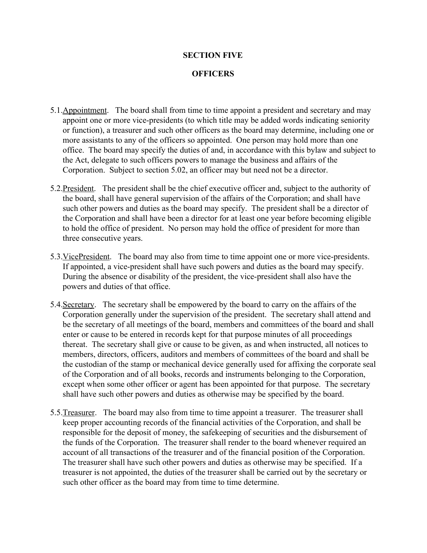#### **SECTION FIVE**

#### **OFFICERS**

- 5.1.Appointment. The board shall from time to time appoint a president and secretary and may appoint one or more vice-presidents (to which title may be added words indicating seniority or function), a treasurer and such other officers as the board may determine, including one or more assistants to any of the officers so appointed. One person may hold more than one office. The board may specify the duties of and, in accordance with this bylaw and subject to the Act, delegate to such officers powers to manage the business and affairs of the Corporation. Subject to section 5.02, an officer may but need not be a director.
- 5.2.President. The president shall be the chief executive officer and, subject to the authority of the board, shall have general supervision of the affairs of the Corporation; and shall have such other powers and duties as the board may specify. The president shall be a director of the Corporation and shall have been a director for at least one year before becoming eligible to hold the office of president. No person may hold the office of president for more than three consecutive years.
- 5.3.VicePresident. The board may also from time to time appoint one or more vice-presidents. If appointed, a vice-president shall have such powers and duties as the board may specify. During the absence or disability of the president, the vice-president shall also have the powers and duties of that office.
- 5.4.Secretary. The secretary shall be empowered by the board to carry on the affairs of the Corporation generally under the supervision of the president. The secretary shall attend and be the secretary of all meetings of the board, members and committees of the board and shall enter or cause to be entered in records kept for that purpose minutes of all proceedings thereat. The secretary shall give or cause to be given, as and when instructed, all notices to members, directors, officers, auditors and members of committees of the board and shall be the custodian of the stamp or mechanical device generally used for affixing the corporate seal of the Corporation and of all books, records and instruments belonging to the Corporation, except when some other officer or agent has been appointed for that purpose. The secretary shall have such other powers and duties as otherwise may be specified by the board.
- 5.5.Treasurer. The board may also from time to time appoint a treasurer. The treasurer shall keep proper accounting records of the financial activities of the Corporation, and shall be responsible for the deposit of money, the safekeeping of securities and the disbursement of the funds of the Corporation. The treasurer shall render to the board whenever required an account of all transactions of the treasurer and of the financial position of the Corporation. The treasurer shall have such other powers and duties as otherwise may be specified. If a treasurer is not appointed, the duties of the treasurer shall be carried out by the secretary or such other officer as the board may from time to time determine.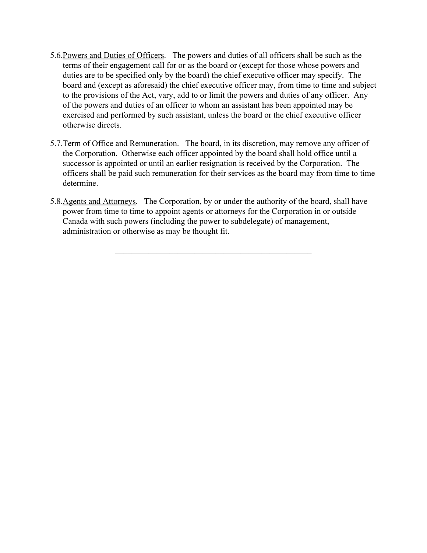- 5.6.Powers and Duties of Officers. The powers and duties of all officers shall be such as the terms of their engagement call for or as the board or (except for those whose powers and duties are to be specified only by the board) the chief executive officer may specify. The board and (except as aforesaid) the chief executive officer may, from time to time and subject to the provisions of the Act, vary, add to or limit the powers and duties of any officer. Any of the powers and duties of an officer to whom an assistant has been appointed may be exercised and performed by such assistant, unless the board or the chief executive officer otherwise directs.
- 5.7. Term of Office and Remuneration. The board, in its discretion, may remove any officer of the Corporation. Otherwise each officer appointed by the board shall hold office until a successor is appointed or until an earlier resignation is received by the Corporation. The officers shall be paid such remuneration for their services as the board may from time to time determine.
- 5.8.Agents and Attorneys. The Corporation, by or under the authority of the board, shall have power from time to time to appoint agents or attorneys for the Corporation in or outside Canada with such powers (including the power to subdelegate) of management, administration or otherwise as may be thought fit.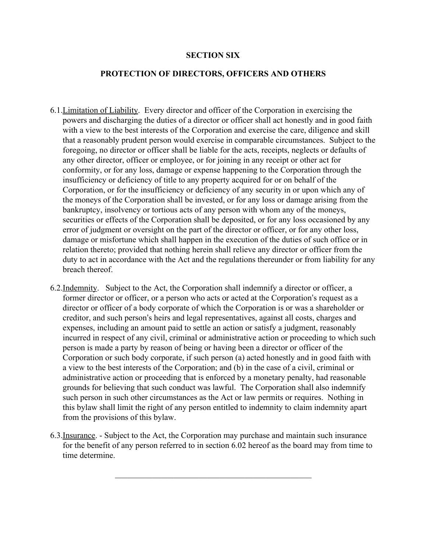#### **SECTION SIX**

#### **PROTECTION OF DIRECTORS, OFFICERS AND OTHERS**

- 6.1.Limitation of Liability. Every director and officer of the Corporation in exercising the powers and discharging the duties of a director or officer shall act honestly and in good faith with a view to the best interests of the Corporation and exercise the care, diligence and skill that a reasonably prudent person would exercise in comparable circumstances. Subject to the foregoing, no director or officer shall be liable for the acts, receipts, neglects or defaults of any other director, officer or employee, or for joining in any receipt or other act for conformity, or for any loss, damage or expense happening to the Corporation through the insufficiency or deficiency of title to any property acquired for or on behalf of the Corporation, or for the insufficiency or deficiency of any security in or upon which any of the moneys of the Corporation shall be invested, or for any loss or damage arising from the bankruptcy, insolvency or tortious acts of any person with whom any of the moneys, securities or effects of the Corporation shall be deposited, or for any loss occasioned by any error of judgment or oversight on the part of the director or officer, or for any other loss, damage or misfortune which shall happen in the execution of the duties of such office or in relation thereto; provided that nothing herein shall relieve any director or officer from the duty to act in accordance with the Act and the regulations thereunder or from liability for any breach thereof.
- 6.2.Indemnity. Subject to the Act, the Corporation shall indemnify a director or officer, a former director or officer, or a person who acts or acted at the Corporation's request as a director or officer of a body corporate of which the Corporation is or was a shareholder or creditor, and such person's heirs and legal representatives, against all costs, charges and expenses, including an amount paid to settle an action or satisfy a judgment, reasonably incurred in respect of any civil, criminal or administrative action or proceeding to which such person is made a party by reason of being or having been a director or officer of the Corporation or such body corporate, if such person (a) acted honestly and in good faith with a view to the best interests of the Corporation; and (b) in the case of a civil, criminal or administrative action or proceeding that is enforced by a monetary penalty, had reasonable grounds for believing that such conduct was lawful. The Corporation shall also indemnify such person in such other circumstances as the Act or law permits or requires. Nothing in this bylaw shall limit the right of any person entitled to indemnity to claim indemnity apart from the provisions of this bylaw.
- 6.3.Insurance. Subject to the Act, the Corporation may purchase and maintain such insurance for the benefit of any person referred to in section 6.02 hereof as the board may from time to time determine.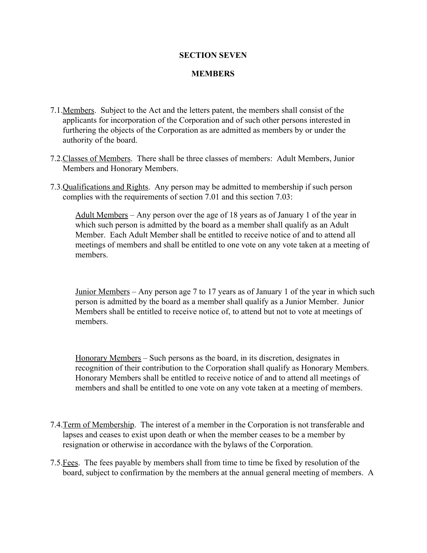#### **SECTION SEVEN**

#### **MEMBERS**

- 7.1.Members. Subject to the Act and the letters patent, the members shall consist of the applicants for incorporation of the Corporation and of such other persons interested in furthering the objects of the Corporation as are admitted as members by or under the authority of the board.
- 7.2.Classes of Members. There shall be three classes of members: Adult Members, Junior Members and Honorary Members.
- 7.3.Qualifications and Rights. Any person may be admitted to membership if such person complies with the requirements of section 7.01 and this section 7.03:

Adult Members – Any person over the age of 18 years as of January 1 of the year in which such person is admitted by the board as a member shall qualify as an Adult Member. Each Adult Member shall be entitled to receive notice of and to attend all meetings of members and shall be entitled to one vote on any vote taken at a meeting of members.

Junior Members – Any person age 7 to 17 years as of January 1 of the year in which such person is admitted by the board as a member shall qualify as a Junior Member. Junior Members shall be entitled to receive notice of, to attend but not to vote at meetings of members.

Honorary Members – Such persons as the board, in its discretion, designates in recognition of their contribution to the Corporation shall qualify as Honorary Members. Honorary Members shall be entitled to receive notice of and to attend all meetings of members and shall be entitled to one vote on any vote taken at a meeting of members.

- 7.4.Term of Membership. The interest of a member in the Corporation is not transferable and lapses and ceases to exist upon death or when the member ceases to be a member by resignation or otherwise in accordance with the bylaws of the Corporation.
- 7.5.Fees. The fees payable by members shall from time to time be fixed by resolution of the board, subject to confirmation by the members at the annual general meeting of members. A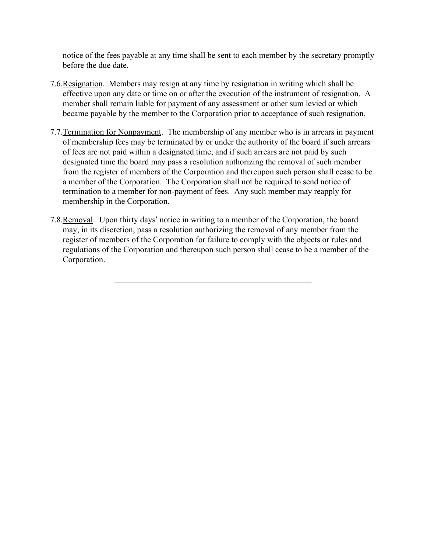notice of the fees payable at any time shall be sent to each member by the secretary promptly before the due date.

- 7.6.Resignation. Members may resign at any time by resignation in writing which shall be effective upon any date or time on or after the execution of the instrument of resignation. A member shall remain liable for payment of any assessment or other sum levied or which became payable by the member to the Corporation prior to acceptance of such resignation.
- 7.7.Termination for Nonpayment. The membership of any member who is in arrears in payment of membership fees may be terminated by or under the authority of the board if such arrears of fees are not paid within a designated time; and if such arrears are not paid by such designated time the board may pass a resolution authorizing the removal of such member from the register of members of the Corporation and thereupon such person shall cease to be a member of the Corporation. The Corporation shall not be required to send notice of termination to a member for non-payment of fees. Any such member may reapply for membership in the Corporation.
- 7.8.Removal. Upon thirty days' notice in writing to a member of the Corporation, the board may, in its discretion, pass a resolution authorizing the removal of any member from the register of members of the Corporation for failure to comply with the objects or rules and regulations of the Corporation and thereupon such person shall cease to be a member of the Corporation.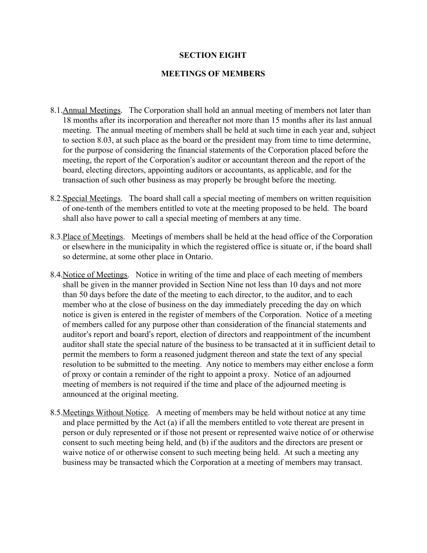# **SECTION EIGHT**

## **MEETINGS OF MEMBERS**

- 8.1.Annual Meetings. The Corporation shall hold an annual meeting of members not later than 18 months after its incorporation and thereafter not more than 15 months after its last annual meeting. The annual meeting of members shall be held at such time in each year and, subject to section 8.03, at such place as the board or the president may from time to time determine, for the purpose of considering the financial statements of the Corporation placed before the meeting, the report of the Corporation's auditor or accountant thereon and the report of the board, electing directors, appointing auditors or accountants, as applicable, and for the transaction of such other business as may properly be brought before the meeting.
- 8.2.Special Meetings. The board shall call a special meeting of members on written requisition of one-tenth of the members entitled to vote at the meeting proposed to be held. The board shall also have power to call a special meeting of members at any time.
- 8.3. Place of Meetings. Meetings of members shall be held at the head office of the Corporation or elsewhere in the municipality in which the registered office is situate or, if the board shall so determine, at some other place in Ontario.
- 8.4.Notice of Meetings. Notice in writing of the time and place of each meeting of members shall be given in the manner provided in Section Nine not less than 10 days and not more than 50 days before the date of the meeting to each director, to the auditor, and to each member who at the close of business on the day immediately preceding the day on which notice is given is entered in the register of members of the Corporation. Notice of a meeting of members called for any purpose other than consideration of the financial statements and auditor's report and board's report, election of directors and reappointment of the incumbent auditor shall state the special nature of the business to be transacted at it in sufficient detail to permit the members to form a reasoned judgment thereon and state the text of any special resolution to be submitted to the meeting. Any notice to members may either enclose a form of proxy or contain a reminder of the right to appoint a proxy. Notice of an adjourned meeting of members is not required if the time and place of the adjourned meeting is announced at the original meeting.
- 8.5.Meetings Without Notice. A meeting of members may be held without notice at any time and place permitted by the Act (a) if all the members entitled to vote thereat are present in person or duly represented or if those not present or represented waive notice of or otherwise consent to such meeting being held, and (b) if the auditors and the directors are present or waive notice of or otherwise consent to such meeting being held. At such a meeting any business may be transacted which the Corporation at a meeting of members may transact.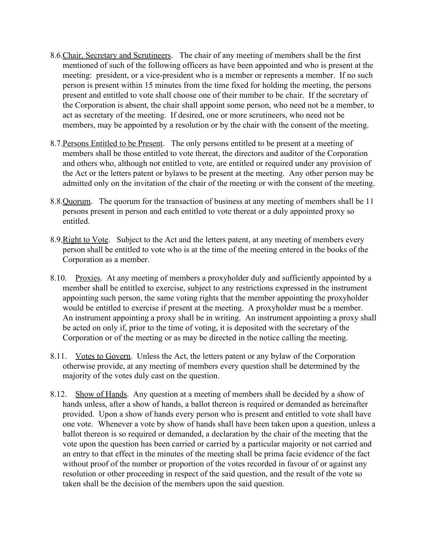- 8.6.Chair, Secretary and Scrutineers. The chair of any meeting of members shall be the first mentioned of such of the following officers as have been appointed and who is present at the meeting: president, or a vice-president who is a member or represents a member. If no such person is present within 15 minutes from the time fixed for holding the meeting, the persons present and entitled to vote shall choose one of their number to be chair. If the secretary of the Corporation is absent, the chair shall appoint some person, who need not be a member, to act as secretary of the meeting. If desired, one or more scrutineers, who need not be members, may be appointed by a resolution or by the chair with the consent of the meeting.
- 8.7.Persons Entitled to be Present. The only persons entitled to be present at a meeting of members shall be those entitled to vote thereat, the directors and auditor of the Corporation and others who, although not entitled to vote, are entitled or required under any provision of the Act or the letters patent or bylaws to be present at the meeting. Any other person may be admitted only on the invitation of the chair of the meeting or with the consent of the meeting.
- 8.8.Quorum. The quorum for the transaction of business at any meeting of members shall be 11 persons present in person and each entitled to vote thereat or a duly appointed proxy so entitled.
- 8.9. Right to Vote. Subject to the Act and the letters patent, at any meeting of members every person shall be entitled to vote who is at the time of the meeting entered in the books of the Corporation as a member.
- 8.10. Proxies. At any meeting of members a proxyholder duly and sufficiently appointed by a member shall be entitled to exercise, subject to any restrictions expressed in the instrument appointing such person, the same voting rights that the member appointing the proxyholder would be entitled to exercise if present at the meeting. A proxyholder must be a member. An instrument appointing a proxy shall be in writing. An instrument appointing a proxy shall be acted on only if, prior to the time of voting, it is deposited with the secretary of the Corporation or of the meeting or as may be directed in the notice calling the meeting.
- 8.11. Votes to Govern. Unless the Act, the letters patent or any bylaw of the Corporation otherwise provide, at any meeting of members every question shall be determined by the majority of the votes duly cast on the question.
- 8.12. Show of Hands. Any question at a meeting of members shall be decided by a show of hands unless, after a show of hands, a ballot thereon is required or demanded as hereinafter provided. Upon a show of hands every person who is present and entitled to vote shall have one vote. Whenever a vote by show of hands shall have been taken upon a question, unless a ballot thereon is so required or demanded, a declaration by the chair of the meeting that the vote upon the question has been carried or carried by a particular majority or not carried and an entry to that effect in the minutes of the meeting shall be prima facie evidence of the fact without proof of the number or proportion of the votes recorded in favour of or against any resolution or other proceeding in respect of the said question, and the result of the vote so taken shall be the decision of the members upon the said question.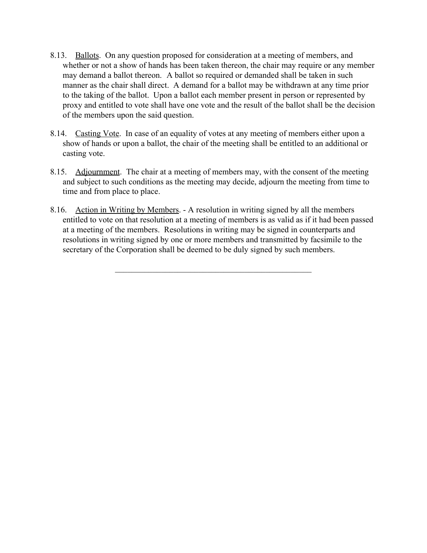- 8.13. Ballots. On any question proposed for consideration at a meeting of members, and whether or not a show of hands has been taken thereon, the chair may require or any member may demand a ballot thereon. A ballot so required or demanded shall be taken in such manner as the chair shall direct. A demand for a ballot may be withdrawn at any time prior to the taking of the ballot. Upon a ballot each member present in person or represented by proxy and entitled to vote shall have one vote and the result of the ballot shall be the decision of the members upon the said question.
- 8.14. Casting Vote. In case of an equality of votes at any meeting of members either upon a show of hands or upon a ballot, the chair of the meeting shall be entitled to an additional or casting vote.
- 8.15. Adjournment. The chair at a meeting of members may, with the consent of the meeting and subject to such conditions as the meeting may decide, adjourn the meeting from time to time and from place to place.
- 8.16. Action in Writing by Members. A resolution in writing signed by all the members entitled to vote on that resolution at a meeting of members is as valid as if it had been passed at a meeting of the members. Resolutions in writing may be signed in counterparts and resolutions in writing signed by one or more members and transmitted by facsimile to the secretary of the Corporation shall be deemed to be duly signed by such members.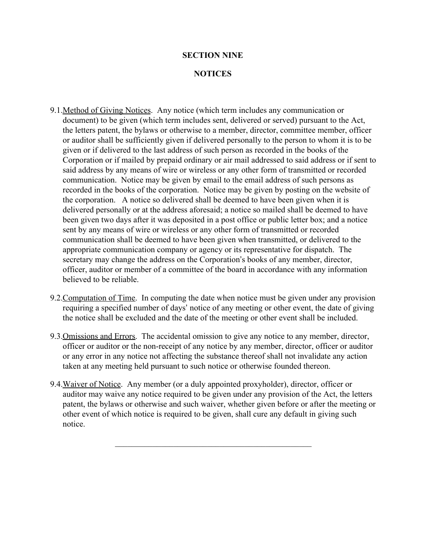#### **SECTION NINE**

#### **NOTICES**

- 9.1.Method of Giving Notices. Any notice (which term includes any communication or document) to be given (which term includes sent, delivered or served) pursuant to the Act, the letters patent, the bylaws or otherwise to a member, director, committee member, officer or auditor shall be sufficiently given if delivered personally to the person to whom it is to be given or if delivered to the last address of such person as recorded in the books of the Corporation or if mailed by prepaid ordinary or air mail addressed to said address or if sent to said address by any means of wire or wireless or any other form of transmitted or recorded communication. Notice may be given by email to the email address of such persons as recorded in the books of the corporation. Notice may be given by posting on the website of the corporation. A notice so delivered shall be deemed to have been given when it is delivered personally or at the address aforesaid; a notice so mailed shall be deemed to have been given two days after it was deposited in a post office or public letter box; and a notice sent by any means of wire or wireless or any other form of transmitted or recorded communication shall be deemed to have been given when transmitted, or delivered to the appropriate communication company or agency or its representative for dispatch. The secretary may change the address on the Corporation's books of any member, director, officer, auditor or member of a committee of the board in accordance with any information believed to be reliable.
- 9.2.Computation of Time. In computing the date when notice must be given under any provision requiring a specified number of days' notice of any meeting or other event, the date of giving the notice shall be excluded and the date of the meeting or other event shall be included.
- 9.3. Omissions and Errors. The accidental omission to give any notice to any member, director, officer or auditor or the non-receipt of any notice by any member, director, officer or auditor or any error in any notice not affecting the substance thereof shall not invalidate any action taken at any meeting held pursuant to such notice or otherwise founded thereon.
- 9.4.Waiver of Notice. Any member (or a duly appointed proxyholder), director, officer or auditor may waive any notice required to be given under any provision of the Act, the letters patent, the bylaws or otherwise and such waiver, whether given before or after the meeting or other event of which notice is required to be given, shall cure any default in giving such notice.